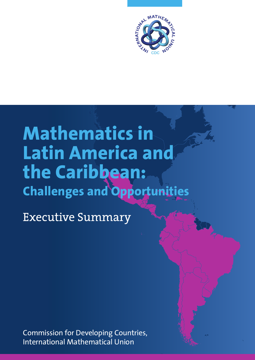

# **Mathematics in Latin America and the Caribbean: Challenges and Opportunities**

Executive Summary

Commission for Developing Countries, International Mathematical Union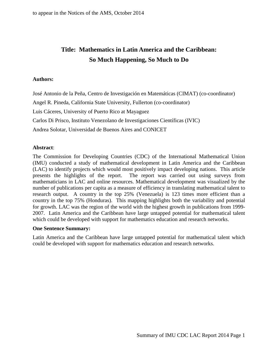# **Title: Mathematics in Latin America and the Caribbean: So Much Happening, So Much to Do**

# **Authors:**

José Antonio de la Peña, Centro de Investigación en Matemáticas (CIMAT) (co-coordinator) Angel R. Pineda, California State University, Fullerton (co-coordinator) Luis Cáceres, University of Puerto Rico at Mayaguez Carlos Di Prisco, Instituto Venezolano de Investigaciones Científicas (IVIC) Andrea Solotar, Universidad de Buenos Aires and CONICET

# **Abstract**:

The Commission for Developing Countries (CDC) of the International Mathematical Union (IMU) conducted a study of mathematical development in Latin America and the Caribbean (LAC) to identify projects which would most positively impact developing nations. This article presents the highlights of the report. The report was carried out using surveys from mathematicians in LAC and online resources. Mathematical development was visualized by the number of publications per capita as a measure of efficiency in translating mathematical talent to research output. A country in the top 25% (Venezuela) is 123 times more efficient than a country in the top 75% (Honduras). This mapping highlights both the variability and potential for growth. LAC was the region of the world with the highest growth in publications from 1999- 2007. Latin America and the Caribbean have large untapped potential for mathematical talent which could be developed with support for mathematics education and research networks.

#### **One Sentence Summary:**

Latin America and the Caribbean have large untapped potential for mathematical talent which could be developed with support for mathematics education and research networks.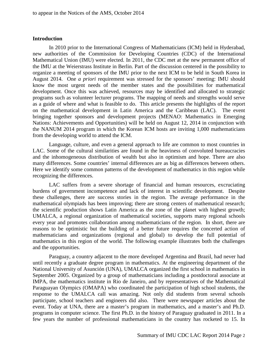### **Introduction**

In 2010 prior to the International Congress of Mathematicians (ICM) held in Hyderabad, new authorities of the Commission for Developing Countries (CDC) of the International Mathematical Union (IMU) were elected. In 2011, the CDC met at the new permanent office of the IMU at the Weierstrass Institute in Berlin. Part of the discussion centered in the possibility to organize a meeting of sponsors of the IMU prior to the next ICM to be held in South Korea in August 2014. One *a priori* requirement was stressed for the sponsors' meeting: IMU should know the most urgent needs of the member states and the possibilities for mathematical development. Once this was achieved, resources may be identified and allocated to strategic programs such as volunteer lecturer programs. The mapping of needs and strengths would serve as a guide of where and what is feasible to do. This article presents the highlights of the report on the mathematical development in Latin America and the Caribbean (LAC). The event bringing together sponsors and development projects (MENAO: Mathematics in Emerging Nations: Achievements and Opportunities) will be held on August 12, 2014 in conjunction with the NANUM 2014 program in which the Korean ICM hosts are inviting 1,000 mathematicians from the developing world to attend the ICM.

Language, culture, and even a general approach to life are common to most countries in LAC. Some of the cultural similarities are found in the heaviness of convoluted bureaucracies and the inhomogeneous distribution of wealth but also in optimism and hope. There are also many differences. Some countries' internal differences are as big as differences between others. Here we identify some common patterns of the development of mathematics in this region while recognizing the differences.

LAC suffers from a severe shortage of financial and human resources, excruciating burdens of government incompetence and lack of interest in scientific development. Despite these challenges, there are success stories in the region. The average performance in the mathematical olympiads has been improving; there are strong centers of mathematical research; the scientific production shows Latin America as the zone of the planet with highest growth; UMALCA, a regional organization of mathematical societies, supports many regional schools every year and promotes collaboration among mathematicians of the region. In short, there are reasons to be optimistic but the building of a better future requires the concerted action of mathematicians and organizations (regional and global) to develop the full potential of mathematics in this region of the world. The following example illustrates both the challenges and the opportunities.

Paraguay, a country adjacent to the more developed Argentina and Brazil, had never had until recently a graduate degree program in mathematics. At the engineering department of the National University of Asunción (UNA), UMALCA organized the first school in mathematics in September 2005. Organized by a group of mathematicians including a postdoctoral associate at IMPA, the mathematics institute in Rio de Janeiro, and by representatives of the Mathematical Paraguayan Olympics (OMAPA) who coordinated the participation of high school students, the response to the UMALCA call was amazing. Not only did students from several schools participate, school teachers and engineers did also. There were newspaper articles about the event. Today at UNA, there are a master's program in mathematics, and a master's and Ph.D. programs in computer science. The first Ph.D. in the history of Paraguay graduated in 2011. In a few years the number of professional mathematicians in the country has rocketed to 15. In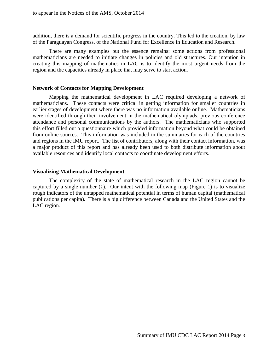addition, there is a demand for scientific progress in the country. This led to the creation, by law of the Paraguayan Congress, of the National Fund for Excellence in Education and Research.

There are many examples but the essence remains: some actions from professional mathematicians are needed to initiate changes in policies and old structures. Our intention in creating this mapping of mathematics in LAC is to identify the most urgent needs from the region and the capacities already in place that may serve to start action.

#### **Network of Contacts for Mapping Development**

Mapping the mathematical development in LAC required developing a network of mathematicians. These contacts were critical in getting information for smaller countries in earlier stages of development where there was no information available online. Mathematicians were identified through their involvement in the mathematical olympiads, previous conference attendance and personal communications by the authors. The mathematicians who supported this effort filled out a questionnaire which provided information beyond what could be obtained from online sources. This information was included in the summaries for each of the countries and regions in the IMU report. The list of contributors, along with their contact information, was a major product of this report and has already been used to both distribute information about available resources and identify local contacts to coordinate development efforts.

#### **Visualizing Mathematical Development**

The complexity of the state of mathematical research in the LAC region cannot be captured by a single number  $(I)$ . Our intent with the following map (Figure 1) is to visualize rough indicators of the untapped mathematical potential in terms of human capital (mathematical publications per capita). There is a big difference between Canada and the United States and the LAC region.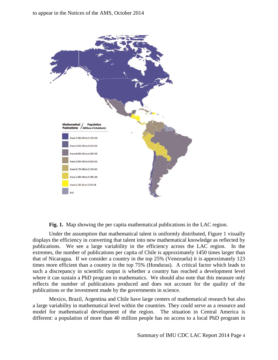

**Fig. 1.** Map showing the per capita mathematical publications in the LAC region.

Under the assumption that mathematical talent is uniformly distributed, Figure 1 visually displays the efficiency in converting that talent into new mathematical knowledge as reflected by publications. We see a large variability in the efficiency across the LAC region. In the extremes, the number of publications per capita of Chile is approximately 1450 times larger than that of Nicaragua. If we consider a country in the top 25% (Venezuela) it is approximately 123 times more efficient than a country in the top 75% (Honduras). A critical factor which leads to such a discrepancy in scientific output is whether a country has reached a development level where it can sustain a PhD program in mathematics. We should also note that this measure only reflects the number of publications produced and does not account for the quality of the publications or the investment made by the governments in science.

Mexico, Brazil, Argentina and Chile have large centers of mathematical research but also a large variability in mathematical level within the countries. They could serve as a resource and model for mathematical development of the region. The situation in Central America is different: a population of more than 40 million people has no access to a local PhD program in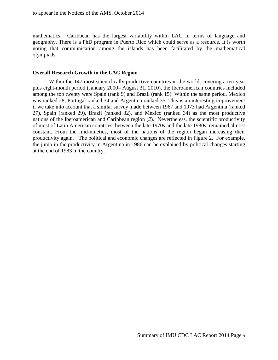mathematics. Caribbean has the largest variability within LAC in terms of language and geography. There is a PhD program in Puerto Rico which could serve as a resource. It is worth noting that communication among the islands has been facilitated by the mathematical olympiads.

# **Overall Research Growth in the LAC Region**

Within the 147 most scientifically productive countries in the world, covering a ten-year plus eight-month period (January 2000– August 31, 2010), the Iberoamerican countries included among the top twenty were Spain (rank 9) and Brazil (rank 15). Within the same period, Mexico was ranked 28, Portugal ranked 34 and Argentina ranked 35. This is an interesting improvement if we take into account that a similar survey made between 1967 and 1973 had Argentina (ranked 27), Spain (ranked 29), Brazil (ranked 32), and Mexico (ranked 34) as the most productive nations of the Iberoamerican and Caribbean region (*2*). Nevertheless, the scientific productivity of most of Latin American countries, between the late 1970s and the late 1980s, remained almost constant. From the mid-nineties, most of the nations of the region began increasing their productivity again. The political and economic changes are reflected in Figure 2. For example, the jump in the productivity in Argentina in 1986 can be explained by political changes starting at the end of 1983 in the country.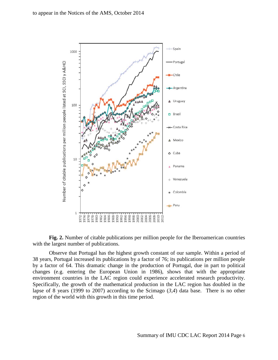

**Fig. 2.** Number of citable publications per million people for the Iberoamerican countries with the largest number of publications.

Observe that Portugal has the highest growth constant of our sample. Within a period of 38 years, Portugal increased its publications by a factor of 76; its publications per million people by a factor of 64. This dramatic change in the production of Portugal, due in part to political changes (e.g. entering the European Union in 1986), shows that with the appropriate environment countries in the LAC region could experience accelerated research productivity. Specifically, the growth of the mathematical production in the LAC region has doubled in the lapse of 8 years (1999 to 2007) according to the Scimago (*3,4*) data base. There is no other region of the world with this growth in this time period.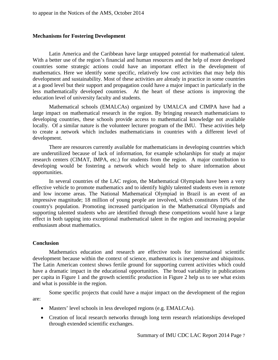# **Mechanisms for Fostering Development**

Latin America and the Caribbean have large untapped potential for mathematical talent. With a better use of the region's financial and human resources and the help of more developed countries some strategic actions could have an important effect in the development of mathematics. Here we identify some specific, relatively low cost activities that may help this development and sustainability. Most of these activities are already in practice in some countries at a good level but their support and propagation could have a major impact in particularly in the less mathematically developed countries. At the heart of these actions is improving the education level of university faculty and students.

Mathematical schools (EMALCAs) organized by UMALCA and CIMPA have had a large impact on mathematical research in the region. By bringing research mathematicians to developing countries, these schools provide access to mathematical knowledge not available locally. Of a similar nature is the volunteer lecturer program of the IMU. These activities help to create a network which includes mathematicians in countries with a different level of development.

There are resources currently available for mathematicians in developing countries which are underutilized because of lack of information, for example scholarships for study at major research centers (CIMAT, IMPA, etc.) for students from the region. A major contribution to developing would be fostering a network which would help to share information about opportunities.

In several countries of the LAC region, the Mathematical Olympiads have been a very effective vehicle to promote mathematics and to identify highly talented students even in remote and low income areas. The National Mathematical Olympiad in Brazil is an event of an impressive magnitude; 18 million of young people are involved, which constitutes 10% of the country's population. Promoting increased participation in the Mathematical Olympiads and supporting talented students who are identified through these competitions would have a large effect in both tapping into exceptional mathematical talent in the region and increasing popular enthusiasm about mathematics.

#### **Conclusion**

Mathematics education and research are effective tools for international scientific development because within the context of science, mathematics is inexpensive and ubiquitous. The Latin American context shows fertile ground for supporting current activities which could have a dramatic impact in the educational opportunities. The broad variability in publications per capita in Figure 1 and the growth scientific production in Figure 2 help us to see what exists and what is possible in the region.

Some specific projects that could have a major impact on the development of the region are:

- Masters' level schools in less developed regions (e.g. EMALCAs).
- Creation of local research networks through long term research relationships developed through extended scientific exchanges.